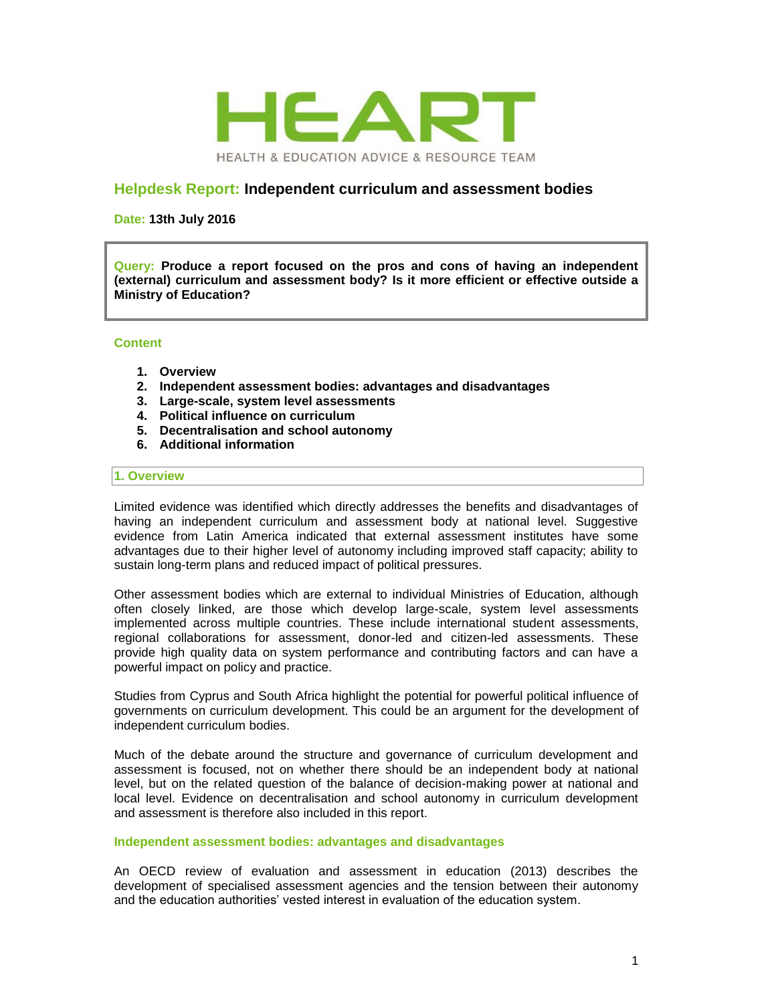

## **Helpdesk Report: Independent curriculum and assessment bodies**

**Date: 13th July 2016**

**Query: Produce a report focused on the pros and cons of having an independent (external) curriculum and assessment body? Is it more efficient or effective outside a Ministry of Education?**

#### **Content**

- **1. Overview**
- **2. Independent assessment bodies: advantages and disadvantages**
- **3. Large-scale, system level assessments**
- **4. Political influence on curriculum**
- **5. Decentralisation and school autonomy**
- **6. Additional information**

#### **1. Overview**

Limited evidence was identified which directly addresses the benefits and disadvantages of having an independent curriculum and assessment body at national level. Suggestive evidence from Latin America indicated that external assessment institutes have some advantages due to their higher level of autonomy including improved staff capacity; ability to sustain long-term plans and reduced impact of political pressures.

Other assessment bodies which are external to individual Ministries of Education, although often closely linked, are those which develop large-scale, system level assessments implemented across multiple countries. These include international student assessments, regional collaborations for assessment, donor-led and citizen-led assessments. These provide high quality data on system performance and contributing factors and can have a powerful impact on policy and practice.

Studies from Cyprus and South Africa highlight the potential for powerful political influence of governments on curriculum development. This could be an argument for the development of independent curriculum bodies.

Much of the debate around the structure and governance of curriculum development and assessment is focused, not on whether there should be an independent body at national level, but on the related question of the balance of decision-making power at national and local level. Evidence on decentralisation and school autonomy in curriculum development and assessment is therefore also included in this report.

#### **Independent assessment bodies: advantages and disadvantages**

An OECD review of evaluation and assessment in education (2013) describes the development of specialised assessment agencies and the tension between their autonomy and the education authorities' vested interest in evaluation of the education system.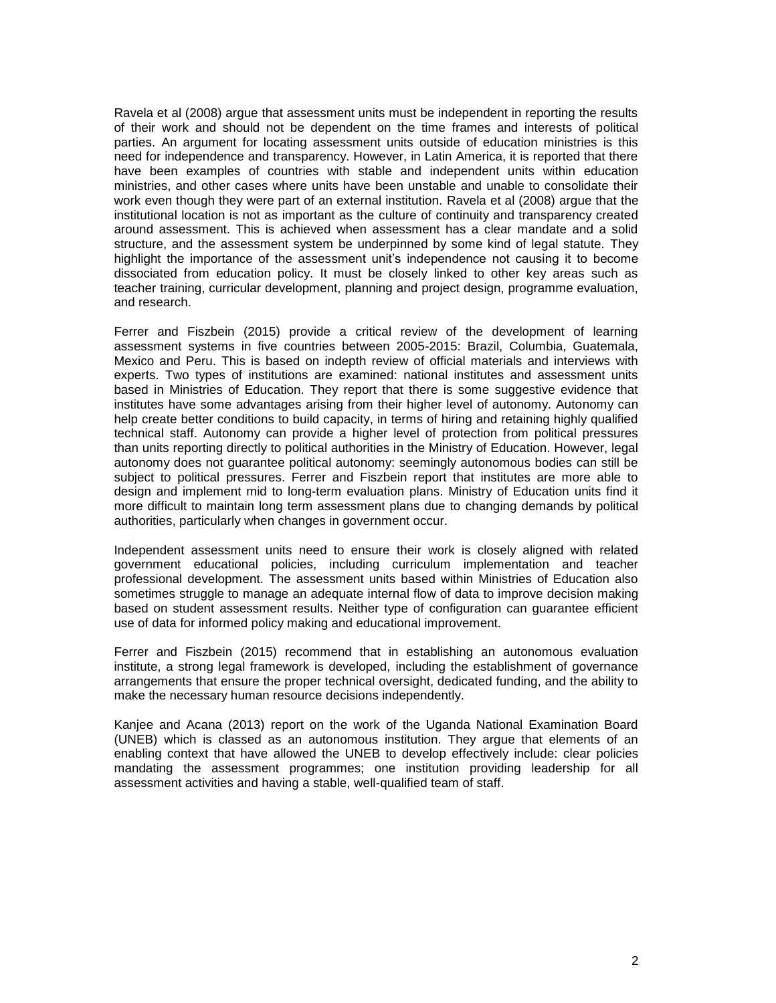Ravela et al (2008) argue that assessment units must be independent in reporting the results of their work and should not be dependent on the time frames and interests of political parties. An argument for locating assessment units outside of education ministries is this need for independence and transparency. However, in Latin America, it is reported that there have been examples of countries with stable and independent units within education ministries, and other cases where units have been unstable and unable to consolidate their work even though they were part of an external institution. Ravela et al (2008) argue that the institutional location is not as important as the culture of continuity and transparency created around assessment. This is achieved when assessment has a clear mandate and a solid structure, and the assessment system be underpinned by some kind of legal statute. They highlight the importance of the assessment unit's independence not causing it to become dissociated from education policy. It must be closely linked to other key areas such as teacher training, curricular development, planning and project design, programme evaluation, and research.

Ferrer and Fiszbein (2015) provide a critical review of the development of learning assessment systems in five countries between 2005-2015: Brazil, Columbia, Guatemala, Mexico and Peru. This is based on indepth review of official materials and interviews with experts. Two types of institutions are examined: national institutes and assessment units based in Ministries of Education. They report that there is some suggestive evidence that institutes have some advantages arising from their higher level of autonomy. Autonomy can help create better conditions to build capacity, in terms of hiring and retaining highly qualified technical staff. Autonomy can provide a higher level of protection from political pressures than units reporting directly to political authorities in the Ministry of Education. However, legal autonomy does not guarantee political autonomy: seemingly autonomous bodies can still be subject to political pressures. Ferrer and Fiszbein report that institutes are more able to design and implement mid to long-term evaluation plans. Ministry of Education units find it more difficult to maintain long term assessment plans due to changing demands by political authorities, particularly when changes in government occur.

Independent assessment units need to ensure their work is closely aligned with related government educational policies, including curriculum implementation and teacher professional development. The assessment units based within Ministries of Education also sometimes struggle to manage an adequate internal flow of data to improve decision making based on student assessment results. Neither type of configuration can guarantee efficient use of data for informed policy making and educational improvement.

Ferrer and Fiszbein (2015) recommend that in establishing an autonomous evaluation institute, a strong legal framework is developed, including the establishment of governance arrangements that ensure the proper technical oversight, dedicated funding, and the ability to make the necessary human resource decisions independently.

Kanjee and Acana (2013) report on the work of the Uganda National Examination Board (UNEB) which is classed as an autonomous institution. They argue that elements of an enabling context that have allowed the UNEB to develop effectively include: clear policies mandating the assessment programmes; one institution providing leadership for all assessment activities and having a stable, well-qualified team of staff.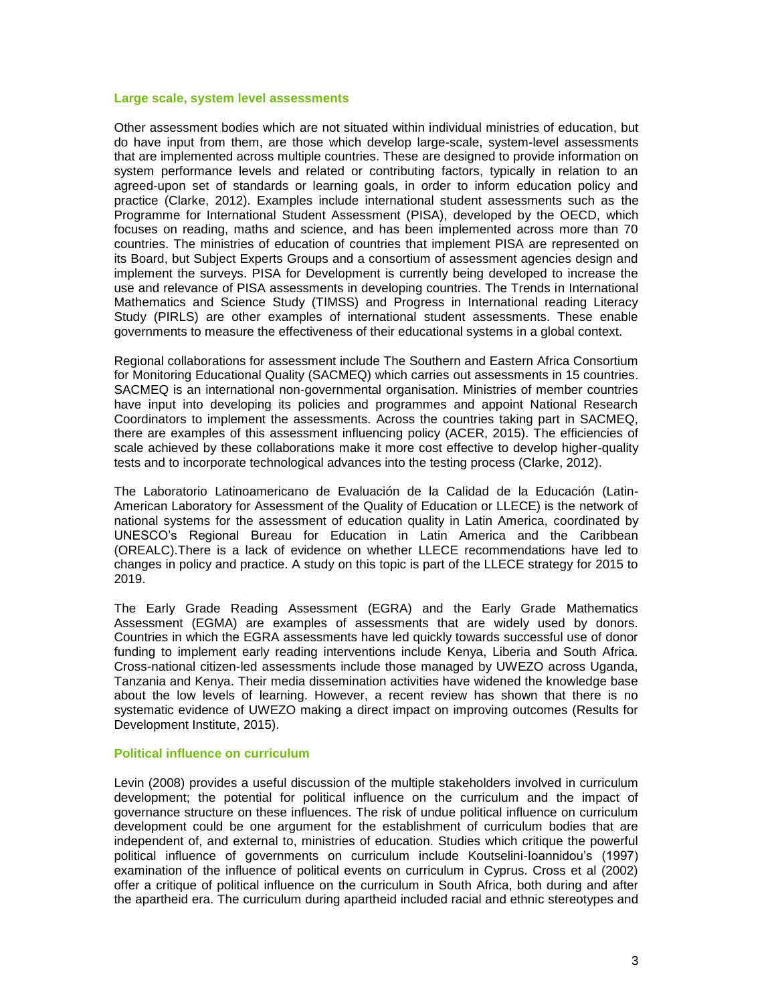#### **Large scale, system level assessments**

Other assessment bodies which are not situated within individual ministries of education, but do have input from them, are those which develop large-scale, system-level assessments that are implemented across multiple countries. These are designed to provide information on system performance levels and related or contributing factors, typically in relation to an agreed-upon set of standards or learning goals, in order to inform education policy and practice (Clarke, 2012). Examples include international student assessments such as the Programme for International Student Assessment (PISA), developed by the OECD, which focuses on reading, maths and science, and has been implemented across more than 70 countries. The ministries of education of countries that implement PISA are represented on its Board, but Subject Experts Groups and a consortium of assessment agencies design and implement the surveys. PISA for Development is currently being developed to increase the use and relevance of PISA assessments in developing countries. The Trends in International Mathematics and Science Study (TIMSS) and Progress in International reading Literacy Study (PIRLS) are other examples of international student assessments. These enable governments to measure the effectiveness of their educational systems in a global context.

Regional collaborations for assessment include The Southern and Eastern Africa Consortium for Monitoring Educational Quality (SACMEQ) which carries out assessments in 15 countries. SACMEQ is an international non-governmental organisation. Ministries of member countries have input into developing its policies and programmes and appoint National Research Coordinators to implement the assessments. Across the countries taking part in SACMEQ, there are examples of this assessment influencing policy (ACER, 2015). The efficiencies of scale achieved by these collaborations make it more cost effective to develop higher-quality tests and to incorporate technological advances into the testing process (Clarke, 2012).

The Laboratorio Latinoamericano de Evaluación de la Calidad de la Educación (Latin-American Laboratory for Assessment of the Quality of Education or LLECE) is the network of national systems for the assessment of education quality in Latin America, coordinated by UNESCO's Regional Bureau for Education in Latin America and the Caribbean (OREALC).There is a lack of evidence on whether LLECE recommendations have led to changes in policy and practice. A study on this topic is part of the LLECE strategy for 2015 to 2019.

The Early Grade Reading Assessment (EGRA) and the Early Grade Mathematics Assessment (EGMA) are examples of assessments that are widely used by donors. Countries in which the EGRA assessments have led quickly towards successful use of donor funding to implement early reading interventions include Kenya, Liberia and South Africa. Cross-national citizen-led assessments include those managed by UWEZO across Uganda, Tanzania and Kenya. Their media dissemination activities have widened the knowledge base about the low levels of learning. However, a recent review has shown that there is no systematic evidence of UWEZO making a direct impact on improving outcomes (Results for Development Institute, 2015).

#### **Political influence on curriculum**

Levin (2008) provides a useful discussion of the multiple stakeholders involved in curriculum development; the potential for political influence on the curriculum and the impact of governance structure on these influences. The risk of undue political influence on curriculum development could be one argument for the establishment of curriculum bodies that are independent of, and external to, ministries of education. Studies which critique the powerful political influence of governments on curriculum include Koutselini-Ioannidou's (1997) examination of the influence of political events on curriculum in Cyprus. Cross et al (2002) offer a critique of political influence on the curriculum in South Africa, both during and after the apartheid era. The curriculum during apartheid included racial and ethnic stereotypes and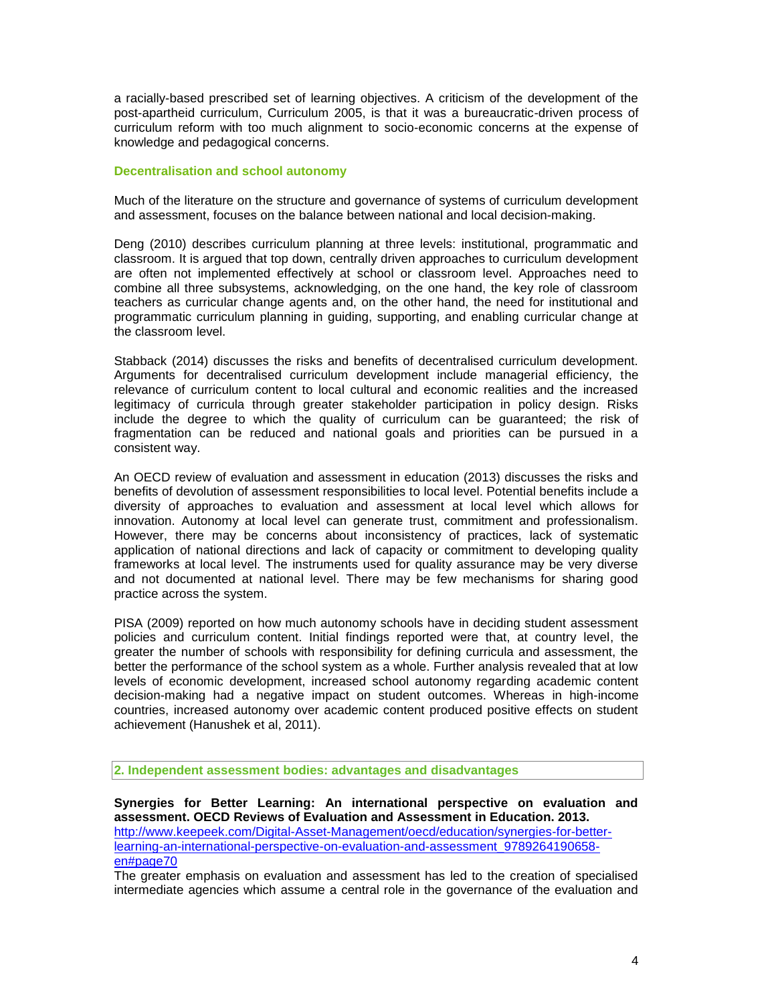a racially-based prescribed set of learning objectives. A criticism of the development of the post-apartheid curriculum, Curriculum 2005, is that it was a bureaucratic-driven process of curriculum reform with too much alignment to socio-economic concerns at the expense of knowledge and pedagogical concerns.

#### **Decentralisation and school autonomy**

Much of the literature on the structure and governance of systems of curriculum development and assessment, focuses on the balance between national and local decision-making.

Deng (2010) describes curriculum planning at three levels: institutional, programmatic and classroom. It is argued that top down, centrally driven approaches to curriculum development are often not implemented effectively at school or classroom level. Approaches need to combine all three subsystems, acknowledging, on the one hand, the key role of classroom teachers as curricular change agents and, on the other hand, the need for institutional and programmatic curriculum planning in guiding, supporting, and enabling curricular change at the classroom level.

Stabback (2014) discusses the risks and benefits of decentralised curriculum development. Arguments for decentralised curriculum development include managerial efficiency, the relevance of curriculum content to local cultural and economic realities and the increased legitimacy of curricula through greater stakeholder participation in policy design. Risks include the degree to which the quality of curriculum can be guaranteed; the risk of fragmentation can be reduced and national goals and priorities can be pursued in a consistent way.

An OECD review of evaluation and assessment in education (2013) discusses the risks and benefits of devolution of assessment responsibilities to local level. Potential benefits include a diversity of approaches to evaluation and assessment at local level which allows for innovation. Autonomy at local level can generate trust, commitment and professionalism. However, there may be concerns about inconsistency of practices, lack of systematic application of national directions and lack of capacity or commitment to developing quality frameworks at local level. The instruments used for quality assurance may be very diverse and not documented at national level. There may be few mechanisms for sharing good practice across the system.

PISA (2009) reported on how much autonomy schools have in deciding student assessment policies and curriculum content. Initial findings reported were that, at country level, the greater the number of schools with responsibility for defining curricula and assessment, the better the performance of the school system as a whole. Further analysis revealed that at low levels of economic development, increased school autonomy regarding academic content decision-making had a negative impact on student outcomes. Whereas in high-income countries, increased autonomy over academic content produced positive effects on student achievement (Hanushek et al, 2011).

**2. Independent assessment bodies: advantages and disadvantages**

**Synergies for Better Learning: An international perspective on evaluation and assessment. OECD Reviews of Evaluation and Assessment in Education. 2013.** [http://www.keepeek.com/Digital-Asset-Management/oecd/education/synergies-for-better](http://www.keepeek.com/Digital-Asset-Management/oecd/education/synergies-for-better-learning-an-international-perspective-on-evaluation-and-assessment_9789264190658-en#page70)[learning-an-international-perspective-on-evaluation-and-assessment\\_9789264190658](http://www.keepeek.com/Digital-Asset-Management/oecd/education/synergies-for-better-learning-an-international-perspective-on-evaluation-and-assessment_9789264190658-en#page70) [en#page70](http://www.keepeek.com/Digital-Asset-Management/oecd/education/synergies-for-better-learning-an-international-perspective-on-evaluation-and-assessment_9789264190658-en#page70)

The greater emphasis on evaluation and assessment has led to the creation of specialised intermediate agencies which assume a central role in the governance of the evaluation and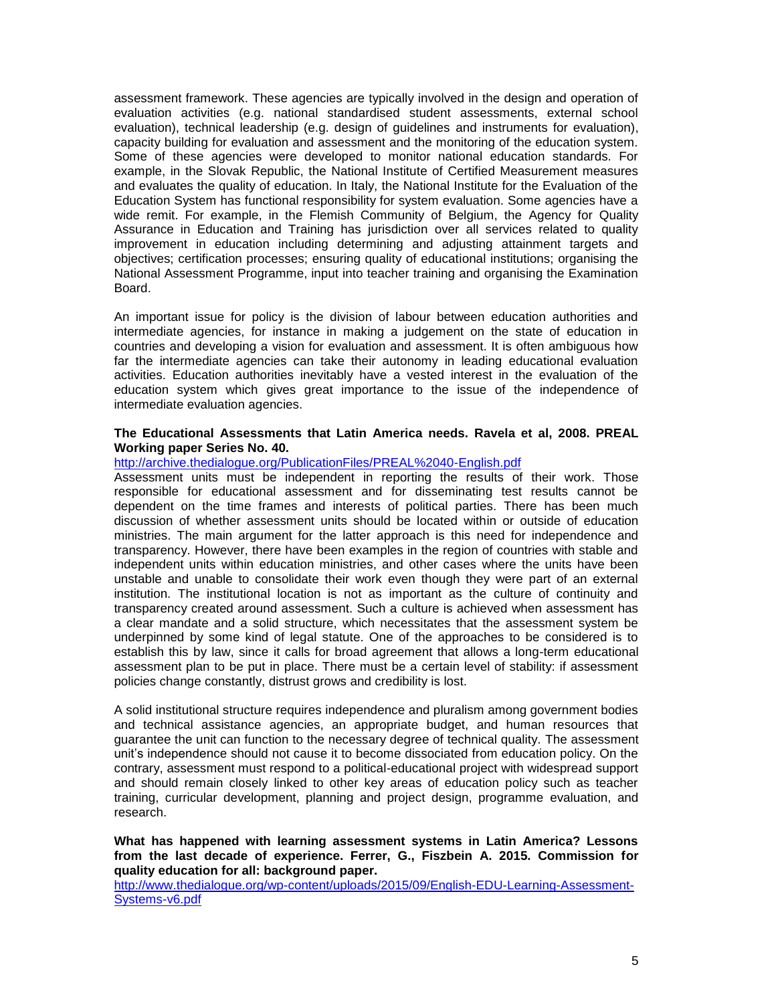assessment framework. These agencies are typically involved in the design and operation of evaluation activities (e.g. national standardised student assessments, external school evaluation), technical leadership (e.g. design of guidelines and instruments for evaluation), capacity building for evaluation and assessment and the monitoring of the education system. Some of these agencies were developed to monitor national education standards. For example, in the Slovak Republic, the National Institute of Certified Measurement measures and evaluates the quality of education. In Italy, the National Institute for the Evaluation of the Education System has functional responsibility for system evaluation. Some agencies have a wide remit. For example, in the Flemish Community of Belgium, the Agency for Quality Assurance in Education and Training has jurisdiction over all services related to quality improvement in education including determining and adjusting attainment targets and objectives; certification processes; ensuring quality of educational institutions; organising the National Assessment Programme, input into teacher training and organising the Examination Board.

An important issue for policy is the division of labour between education authorities and intermediate agencies, for instance in making a judgement on the state of education in countries and developing a vision for evaluation and assessment. It is often ambiguous how far the intermediate agencies can take their autonomy in leading educational evaluation activities. Education authorities inevitably have a vested interest in the evaluation of the education system which gives great importance to the issue of the independence of intermediate evaluation agencies.

#### **The Educational Assessments that Latin America needs. Ravela et al, 2008. PREAL Working paper Series No. 40.**

<http://archive.thedialogue.org/PublicationFiles/PREAL%2040-English.pdf>

Assessment units must be independent in reporting the results of their work. Those responsible for educational assessment and for disseminating test results cannot be dependent on the time frames and interests of political parties. There has been much discussion of whether assessment units should be located within or outside of education ministries. The main argument for the latter approach is this need for independence and transparency. However, there have been examples in the region of countries with stable and independent units within education ministries, and other cases where the units have been unstable and unable to consolidate their work even though they were part of an external institution. The institutional location is not as important as the culture of continuity and transparency created around assessment. Such a culture is achieved when assessment has a clear mandate and a solid structure, which necessitates that the assessment system be underpinned by some kind of legal statute. One of the approaches to be considered is to establish this by law, since it calls for broad agreement that allows a long-term educational assessment plan to be put in place. There must be a certain level of stability: if assessment policies change constantly, distrust grows and credibility is lost.

A solid institutional structure requires independence and pluralism among government bodies and technical assistance agencies, an appropriate budget, and human resources that guarantee the unit can function to the necessary degree of technical quality. The assessment unit's independence should not cause it to become dissociated from education policy. On the contrary, assessment must respond to a political-educational project with widespread support and should remain closely linked to other key areas of education policy such as teacher training, curricular development, planning and project design, programme evaluation, and research.

**What has happened with learning assessment systems in Latin America? Lessons from the last decade of experience. Ferrer, G., Fiszbein A. 2015. Commission for quality education for all: background paper.**

[http://www.thedialogue.org/wp-content/uploads/2015/09/English-EDU-Learning-Assessment-](http://www.thedialogue.org/wp-content/uploads/2015/09/English-EDU-Learning-Assessment-Systems-v6.pdf)[Systems-v6.pdf](http://www.thedialogue.org/wp-content/uploads/2015/09/English-EDU-Learning-Assessment-Systems-v6.pdf)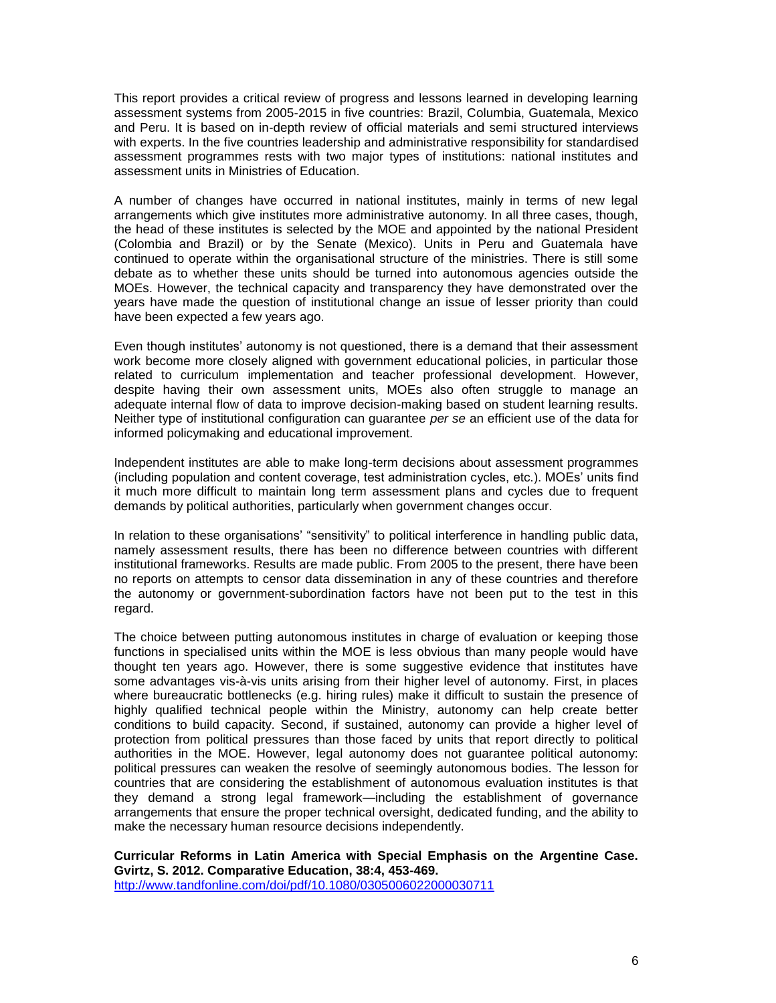This report provides a critical review of progress and lessons learned in developing learning assessment systems from 2005-2015 in five countries: Brazil, Columbia, Guatemala, Mexico and Peru. It is based on in-depth review of official materials and semi structured interviews with experts. In the five countries leadership and administrative responsibility for standardised assessment programmes rests with two major types of institutions: national institutes and assessment units in Ministries of Education.

A number of changes have occurred in national institutes, mainly in terms of new legal arrangements which give institutes more administrative autonomy. In all three cases, though, the head of these institutes is selected by the MOE and appointed by the national President (Colombia and Brazil) or by the Senate (Mexico). Units in Peru and Guatemala have continued to operate within the organisational structure of the ministries. There is still some debate as to whether these units should be turned into autonomous agencies outside the MOEs. However, the technical capacity and transparency they have demonstrated over the years have made the question of institutional change an issue of lesser priority than could have been expected a few years ago.

Even though institutes' autonomy is not questioned, there is a demand that their assessment work become more closely aligned with government educational policies, in particular those related to curriculum implementation and teacher professional development. However, despite having their own assessment units, MOEs also often struggle to manage an adequate internal flow of data to improve decision-making based on student learning results. Neither type of institutional configuration can guarantee *per se* an efficient use of the data for informed policymaking and educational improvement.

Independent institutes are able to make long-term decisions about assessment programmes (including population and content coverage, test administration cycles, etc.). MOEs' units find it much more difficult to maintain long term assessment plans and cycles due to frequent demands by political authorities, particularly when government changes occur.

In relation to these organisations' "sensitivity" to political interference in handling public data, namely assessment results, there has been no difference between countries with different institutional frameworks. Results are made public. From 2005 to the present, there have been no reports on attempts to censor data dissemination in any of these countries and therefore the autonomy or government-subordination factors have not been put to the test in this regard.

The choice between putting autonomous institutes in charge of evaluation or keeping those functions in specialised units within the MOE is less obvious than many people would have thought ten years ago. However, there is some suggestive evidence that institutes have some advantages vis-à-vis units arising from their higher level of autonomy. First, in places where bureaucratic bottlenecks (e.g. hiring rules) make it difficult to sustain the presence of highly qualified technical people within the Ministry, autonomy can help create better conditions to build capacity. Second, if sustained, autonomy can provide a higher level of protection from political pressures than those faced by units that report directly to political authorities in the MOE. However, legal autonomy does not guarantee political autonomy: political pressures can weaken the resolve of seemingly autonomous bodies. The lesson for countries that are considering the establishment of autonomous evaluation institutes is that they demand a strong legal framework—including the establishment of governance arrangements that ensure the proper technical oversight, dedicated funding, and the ability to make the necessary human resource decisions independently.

# **Curricular Reforms in Latin America with Special Emphasis on the Argentine Case. Gvirtz, S. 2012. Comparative Education, 38:4, 453-469.**

<http://www.tandfonline.com/doi/pdf/10.1080/0305006022000030711>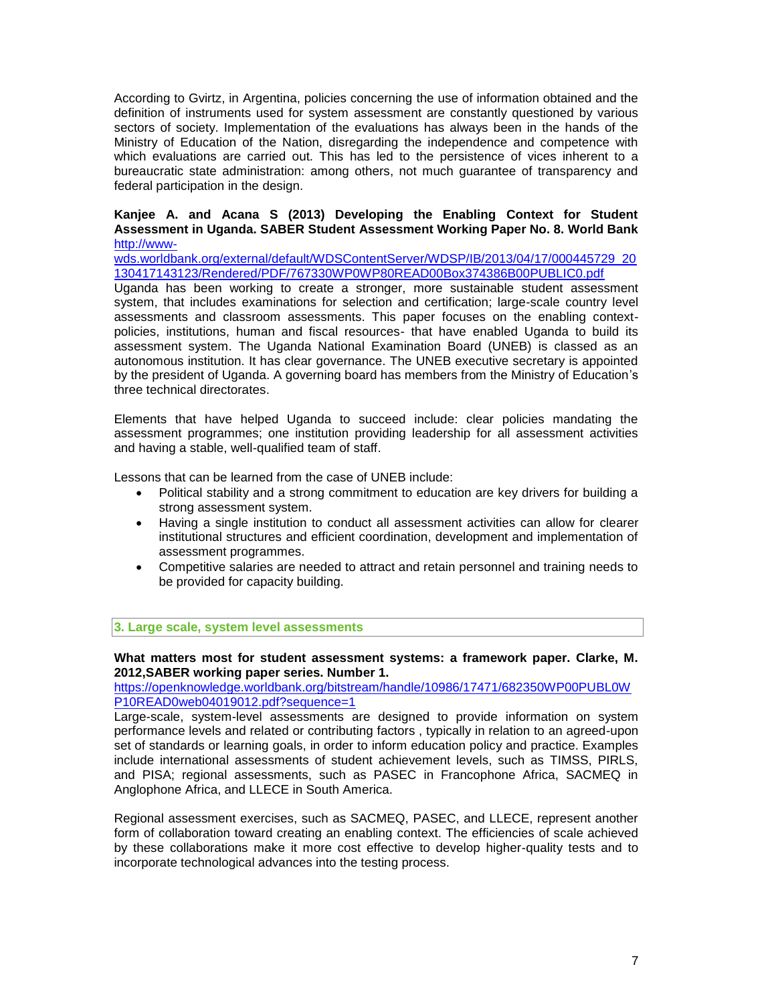According to Gvirtz, in Argentina, policies concerning the use of information obtained and the definition of instruments used for system assessment are constantly questioned by various sectors of society. Implementation of the evaluations has always been in the hands of the Ministry of Education of the Nation, disregarding the independence and competence with which evaluations are carried out. This has led to the persistence of vices inherent to a bureaucratic state administration: among others, not much guarantee of transparency and federal participation in the design.

#### **Kanjee A. and Acana S (2013) Developing the Enabling Context for Student Assessment in Uganda. SABER Student Assessment Working Paper No. 8. World Bank** [http://www-](http://www-wds.worldbank.org/external/default/WDSContentServer/WDSP/IB/2013/04/17/000445729_20130417143123/Rendered/PDF/767330WP0WP80READ00Box374386B00PUBLIC0.pdf)

[wds.worldbank.org/external/default/WDSContentServer/WDSP/IB/2013/04/17/000445729\\_20](http://www-wds.worldbank.org/external/default/WDSContentServer/WDSP/IB/2013/04/17/000445729_20130417143123/Rendered/PDF/767330WP0WP80READ00Box374386B00PUBLIC0.pdf) [130417143123/Rendered/PDF/767330WP0WP80READ00Box374386B00PUBLIC0.pdf](http://www-wds.worldbank.org/external/default/WDSContentServer/WDSP/IB/2013/04/17/000445729_20130417143123/Rendered/PDF/767330WP0WP80READ00Box374386B00PUBLIC0.pdf)

Uganda has been working to create a stronger, more sustainable student assessment system, that includes examinations for selection and certification; large-scale country level assessments and classroom assessments. This paper focuses on the enabling contextpolicies, institutions, human and fiscal resources- that have enabled Uganda to build its assessment system. The Uganda National Examination Board (UNEB) is classed as an autonomous institution. It has clear governance. The UNEB executive secretary is appointed by the president of Uganda. A governing board has members from the Ministry of Education's three technical directorates.

Elements that have helped Uganda to succeed include: clear policies mandating the assessment programmes; one institution providing leadership for all assessment activities and having a stable, well-qualified team of staff.

Lessons that can be learned from the case of UNEB include:

- Political stability and a strong commitment to education are key drivers for building a strong assessment system.
- Having a single institution to conduct all assessment activities can allow for clearer institutional structures and efficient coordination, development and implementation of assessment programmes.
- Competitive salaries are needed to attract and retain personnel and training needs to be provided for capacity building.

**3. Large scale, system level assessments**

**What matters most for student assessment systems: a framework paper. Clarke, M. 2012,SABER working paper series. Number 1.** 

[https://openknowledge.worldbank.org/bitstream/handle/10986/17471/682350WP00PUBL0W](https://openknowledge.worldbank.org/bitstream/handle/10986/17471/682350WP00PUBL0WP10READ0web04019012.pdf?sequence=1) [P10READ0web04019012.pdf?sequence=1](https://openknowledge.worldbank.org/bitstream/handle/10986/17471/682350WP00PUBL0WP10READ0web04019012.pdf?sequence=1)

Large-scale, system-level assessments are designed to provide information on system performance levels and related or contributing factors , typically in relation to an agreed-upon set of standards or learning goals, in order to inform education policy and practice. Examples include international assessments of student achievement levels, such as TIMSS, PIRLS, and PISA; regional assessments, such as PASEC in Francophone Africa, SACMEQ in Anglophone Africa, and LLECE in South America.

Regional assessment exercises, such as SACMEQ, PASEC, and LLECE, represent another form of collaboration toward creating an enabling context. The efficiencies of scale achieved by these collaborations make it more cost effective to develop higher-quality tests and to incorporate technological advances into the testing process.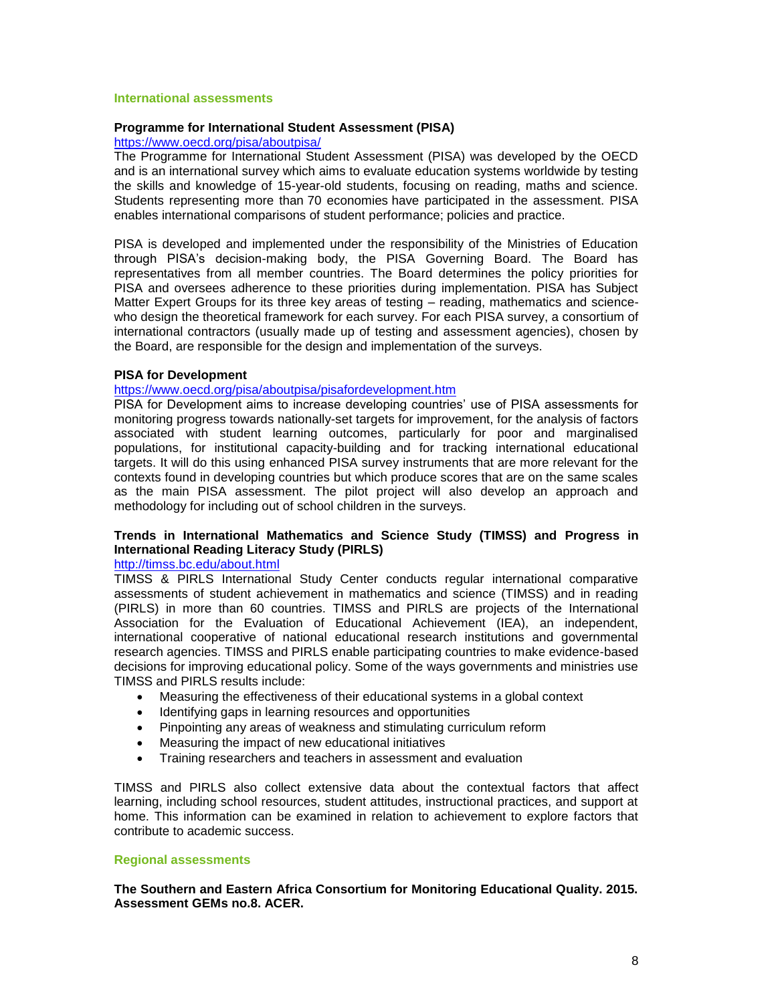#### **International assessments**

#### **Programme for International Student Assessment (PISA)**

#### <https://www.oecd.org/pisa/aboutpisa/>

The Programme for International Student Assessment (PISA) was developed by the OECD and is an international survey which aims to evaluate education systems worldwide by testing the skills and knowledge of 15-year-old students, focusing on reading, maths and science. Students representing more than 70 economies have participated in the assessment. PISA enables international comparisons of student performance; policies and practice.

PISA is developed and implemented under the responsibility of the Ministries of Education through PISA's decision-making body, the PISA Governing Board. The Board has representatives from all member countries. The Board determines the policy priorities for PISA and oversees adherence to these priorities during implementation. PISA has Subject Matter Expert Groups for its three key areas of testing – reading, mathematics and sciencewho design the theoretical framework for each survey. For each PISA survey, a consortium of international contractors (usually made up of testing and assessment agencies), chosen by the Board, are responsible for the design and implementation of the surveys.

## **PISA for Development**

## <https://www.oecd.org/pisa/aboutpisa/pisafordevelopment.htm>

PISA for Development aims to increase developing countries' use of PISA assessments for monitoring progress towards nationally-set targets for improvement, for the analysis of factors associated with student learning outcomes, particularly for poor and marginalised populations, for institutional capacity-building and for tracking international educational targets. It will do this using enhanced PISA survey instruments that are more relevant for the contexts found in developing countries but which produce scores that are on the same scales as the main PISA assessment. The pilot project will also develop an approach and methodology for including out of school children in the surveys.

## **Trends in International Mathematics and Science Study (TIMSS) and Progress in International Reading Literacy Study (PIRLS)**

## <http://timss.bc.edu/about.html>

TIMSS & PIRLS International Study Center conducts regular international comparative assessments of student achievement in mathematics and science (TIMSS) and in reading (PIRLS) in more than 60 countries. TIMSS and PIRLS are projects of the International Association for the Evaluation of Educational Achievement (IEA), an independent, international cooperative of national educational research institutions and governmental research agencies. TIMSS and PIRLS enable participating countries to make evidence-based decisions for improving educational policy. Some of the ways governments and ministries use TIMSS and PIRLS results include:

- Measuring the effectiveness of their educational systems in a global context
- Identifying gaps in learning resources and opportunities
- Pinpointing any areas of weakness and stimulating curriculum reform
- Measuring the impact of new educational initiatives
- Training researchers and teachers in assessment and evaluation

TIMSS and PIRLS also collect extensive data about the contextual factors that affect learning, including school resources, student attitudes, instructional practices, and support at home. This information can be examined in relation to achievement to explore factors that contribute to academic success.

## **Regional assessments**

**The Southern and Eastern Africa Consortium for Monitoring Educational Quality. 2015. Assessment GEMs no.8. ACER.**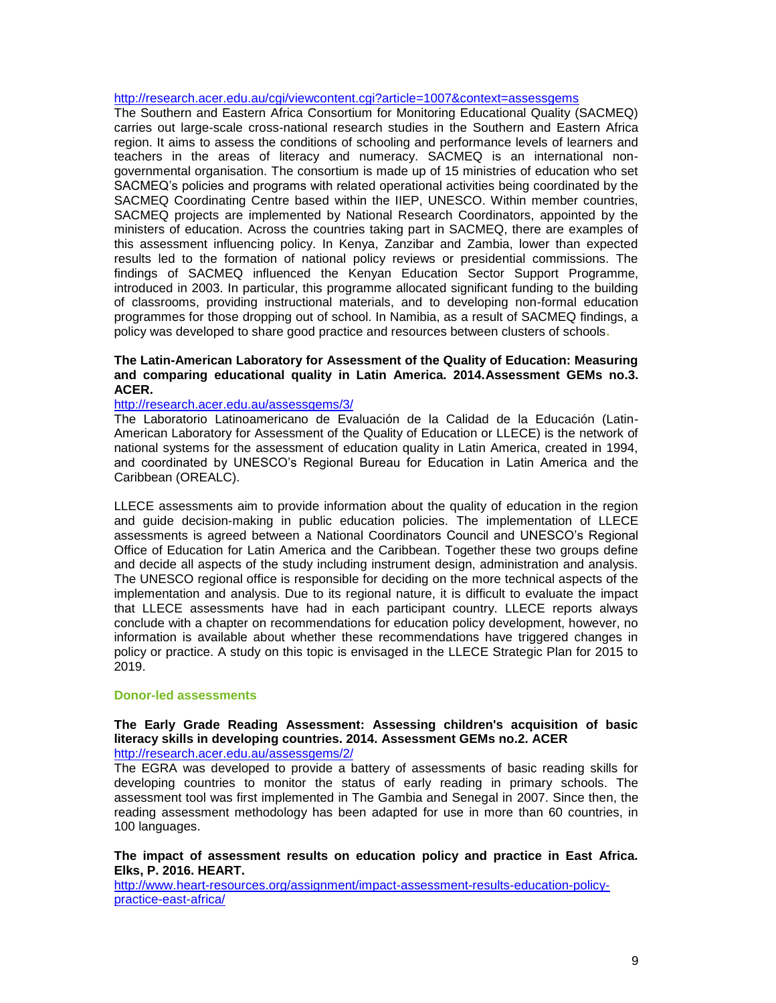#### <http://research.acer.edu.au/cgi/viewcontent.cgi?article=1007&context=assessgems>

The Southern and Eastern Africa Consortium for Monitoring Educational Quality (SACMEQ) carries out large-scale cross-national research studies in the Southern and Eastern Africa region. It aims to assess the conditions of schooling and performance levels of learners and teachers in the areas of literacy and numeracy. SACMEQ is an international nongovernmental organisation. The consortium is made up of 15 ministries of education who set SACMEQ's policies and programs with related operational activities being coordinated by the SACMEQ Coordinating Centre based within the IIEP, UNESCO. Within member countries, SACMEQ projects are implemented by National Research Coordinators, appointed by the ministers of education. Across the countries taking part in SACMEQ, there are examples of this assessment influencing policy. In Kenya, Zanzibar and Zambia, lower than expected results led to the formation of national policy reviews or presidential commissions. The findings of SACMEQ influenced the Kenyan Education Sector Support Programme, introduced in 2003. In particular, this programme allocated significant funding to the building of classrooms, providing instructional materials, and to developing non-formal education programmes for those dropping out of school. In Namibia, as a result of SACMEQ findings, a policy was developed to share good practice and resources between clusters of schools**.** 

## **The Latin-American Laboratory for Assessment of the Quality of Education: Measuring and comparing educational quality in Latin America. 2014.Assessment GEMs no.3. ACER.**

## <http://research.acer.edu.au/assessgems/3/>

The Laboratorio Latinoamericano de Evaluación de la Calidad de la Educación (Latin-American Laboratory for Assessment of the Quality of Education or LLECE) is the network of national systems for the assessment of education quality in Latin America, created in 1994, and coordinated by UNESCO's Regional Bureau for Education in Latin America and the Caribbean (OREALC).

LLECE assessments aim to provide information about the quality of education in the region and guide decision-making in public education policies. The implementation of LLECE assessments is agreed between a National Coordinators Council and UNESCO's Regional Office of Education for Latin America and the Caribbean. Together these two groups define and decide all aspects of the study including instrument design, administration and analysis. The UNESCO regional office is responsible for deciding on the more technical aspects of the implementation and analysis. Due to its regional nature, it is difficult to evaluate the impact that LLECE assessments have had in each participant country. LLECE reports always conclude with a chapter on recommendations for education policy development, however, no information is available about whether these recommendations have triggered changes in policy or practice. A study on this topic is envisaged in the LLECE Strategic Plan for 2015 to 2019.

#### **Donor-led assessments**

#### **The Early Grade Reading Assessment: Assessing children's acquisition of basic literacy skills in developing countries. 2014. Assessment GEMs no.2. ACER** <http://research.acer.edu.au/assessgems/2/>

The EGRA was developed to provide a battery of assessments of basic reading skills for developing countries to monitor the status of early reading in primary schools. The assessment tool was first implemented in The Gambia and Senegal in 2007. Since then, the reading assessment methodology has been adapted for use in more than 60 countries, in 100 languages.

#### **The impact of assessment results on education policy and practice in East Africa. Elks, P. 2016. HEART.**

[http://www.heart-resources.org/assignment/impact-assessment-results-education-policy](http://www.heart-resources.org/assignment/impact-assessment-results-education-policy-practice-east-africa/)[practice-east-africa/](http://www.heart-resources.org/assignment/impact-assessment-results-education-policy-practice-east-africa/)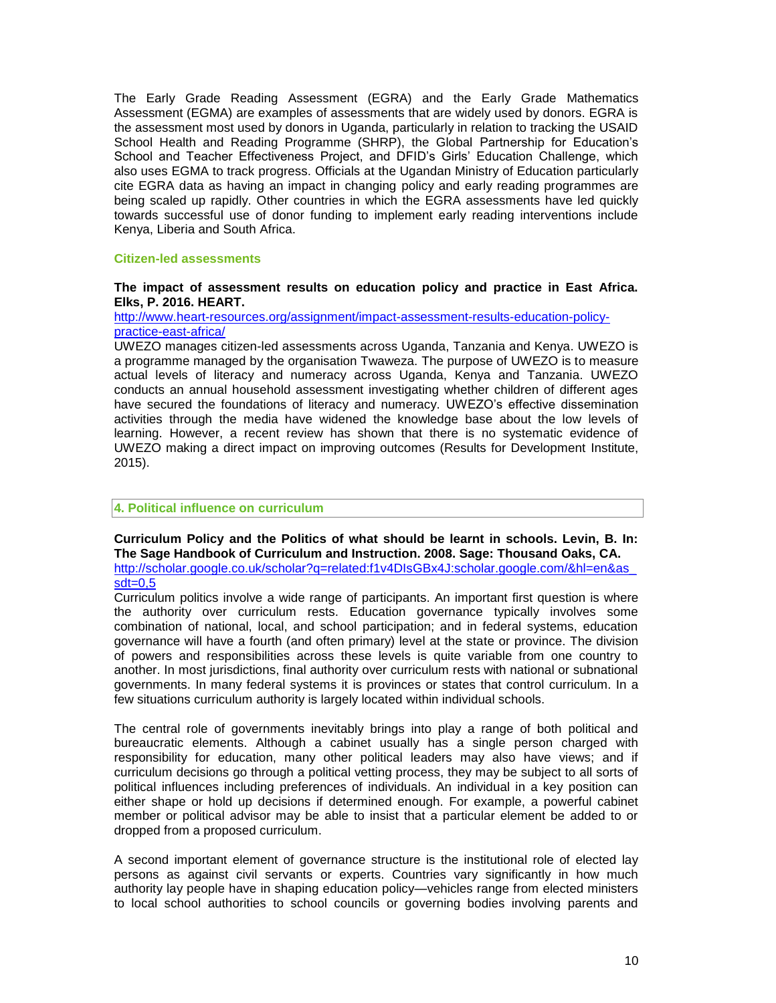The Early Grade Reading Assessment (EGRA) and the Early Grade Mathematics Assessment (EGMA) are examples of assessments that are widely used by donors. EGRA is the assessment most used by donors in Uganda, particularly in relation to tracking the USAID School Health and Reading Programme (SHRP), the Global Partnership for Education's School and Teacher Effectiveness Project, and DFID's Girls' Education Challenge, which also uses EGMA to track progress. Officials at the Ugandan Ministry of Education particularly cite EGRA data as having an impact in changing policy and early reading programmes are being scaled up rapidly. Other countries in which the EGRA assessments have led quickly towards successful use of donor funding to implement early reading interventions include Kenya, Liberia and South Africa.

#### **Citizen-led assessments**

#### **The impact of assessment results on education policy and practice in East Africa. Elks, P. 2016. HEART.**

[http://www.heart-resources.org/assignment/impact-assessment-results-education-policy](http://www.heart-resources.org/assignment/impact-assessment-results-education-policy-practice-east-africa/)[practice-east-africa/](http://www.heart-resources.org/assignment/impact-assessment-results-education-policy-practice-east-africa/)

UWEZO manages citizen-led assessments across Uganda, Tanzania and Kenya. UWEZO is a programme managed by the organisation Twaweza. The purpose of UWEZO is to measure actual levels of literacy and numeracy across Uganda, Kenya and Tanzania. UWEZO conducts an annual household assessment investigating whether children of different ages have secured the foundations of literacy and numeracy. UWEZO's effective dissemination activities through the media have widened the knowledge base about the low levels of learning. However, a recent review has shown that there is no systematic evidence of UWEZO making a direct impact on improving outcomes (Results for Development Institute, 2015).

#### **4. Political influence on curriculum**

#### **Curriculum Policy and the Politics of what should be learnt in schools. Levin, B. In: The Sage Handbook of Curriculum and Instruction. 2008. Sage: Thousand Oaks, CA.** [http://scholar.google.co.uk/scholar?q=related:f1v4DIsGBx4J:scholar.google.com/&hl=en&as\\_](http://scholar.google.co.uk/scholar?q=related:f1v4DIsGBx4J:scholar.google.com/&hl=en&as_sdt=0,5)  $sdt = 0.5$

Curriculum politics involve a wide range of participants. An important first question is where the authority over curriculum rests. Education governance typically involves some combination of national, local, and school participation; and in federal systems, education governance will have a fourth (and often primary) level at the state or province. The division of powers and responsibilities across these levels is quite variable from one country to another. In most jurisdictions, final authority over curriculum rests with national or subnational governments. In many federal systems it is provinces or states that control curriculum. In a few situations curriculum authority is largely located within individual schools.

The central role of governments inevitably brings into play a range of both political and bureaucratic elements. Although a cabinet usually has a single person charged with responsibility for education, many other political leaders may also have views; and if curriculum decisions go through a political vetting process, they may be subject to all sorts of political influences including preferences of individuals. An individual in a key position can either shape or hold up decisions if determined enough. For example, a powerful cabinet member or political advisor may be able to insist that a particular element be added to or dropped from a proposed curriculum.

A second important element of governance structure is the institutional role of elected lay persons as against civil servants or experts. Countries vary significantly in how much authority lay people have in shaping education policy—vehicles range from elected ministers to local school authorities to school councils or governing bodies involving parents and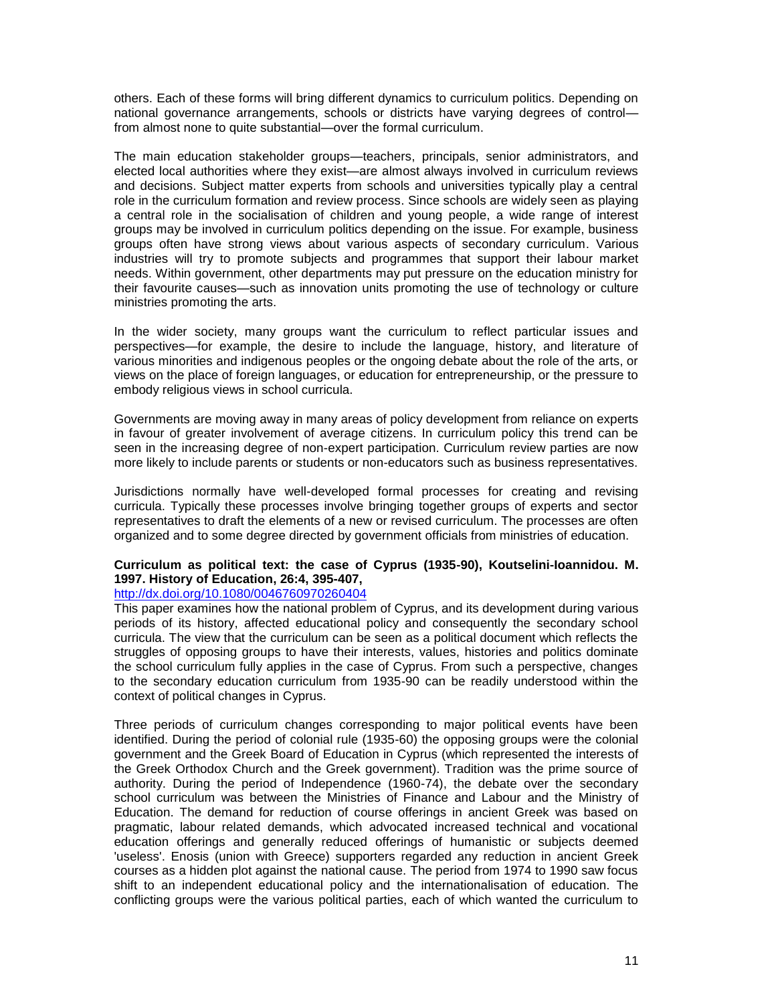others. Each of these forms will bring different dynamics to curriculum politics. Depending on national governance arrangements, schools or districts have varying degrees of control from almost none to quite substantial—over the formal curriculum.

The main education stakeholder groups—teachers, principals, senior administrators, and elected local authorities where they exist—are almost always involved in curriculum reviews and decisions. Subject matter experts from schools and universities typically play a central role in the curriculum formation and review process. Since schools are widely seen as playing a central role in the socialisation of children and young people, a wide range of interest groups may be involved in curriculum politics depending on the issue. For example, business groups often have strong views about various aspects of secondary curriculum. Various industries will try to promote subjects and programmes that support their labour market needs. Within government, other departments may put pressure on the education ministry for their favourite causes—such as innovation units promoting the use of technology or culture ministries promoting the arts.

In the wider society, many groups want the curriculum to reflect particular issues and perspectives—for example, the desire to include the language, history, and literature of various minorities and indigenous peoples or the ongoing debate about the role of the arts, or views on the place of foreign languages, or education for entrepreneurship, or the pressure to embody religious views in school curricula.

Governments are moving away in many areas of policy development from reliance on experts in favour of greater involvement of average citizens. In curriculum policy this trend can be seen in the increasing degree of non-expert participation. Curriculum review parties are now more likely to include parents or students or non-educators such as business representatives.

Jurisdictions normally have well-developed formal processes for creating and revising curricula. Typically these processes involve bringing together groups of experts and sector representatives to draft the elements of a new or revised curriculum. The processes are often organized and to some degree directed by government officials from ministries of education.

## **Curriculum as political text: the case of Cyprus (1935**‐**90), Koutselini**‐**Ioannidou. M. 1997. History of Education, 26:4, 395-407,**

## <http://dx.doi.org/10.1080/0046760970260404>

This paper examines how the national problem of Cyprus, and its development during various periods of its history, affected educational policy and consequently the secondary school curricula. The view that the curriculum can be seen as a political document which reflects the struggles of opposing groups to have their interests, values, histories and politics dominate the school curriculum fully applies in the case of Cyprus. From such a perspective, changes to the secondary education curriculum from 1935-90 can be readily understood within the context of political changes in Cyprus.

Three periods of curriculum changes corresponding to major political events have been identified. During the period of colonial rule (1935-60) the opposing groups were the colonial government and the Greek Board of Education in Cyprus (which represented the interests of the Greek Orthodox Church and the Greek government). Tradition was the prime source of authority. During the period of Independence (1960-74), the debate over the secondary school curriculum was between the Ministries of Finance and Labour and the Ministry of Education. The demand for reduction of course offerings in ancient Greek was based on pragmatic, labour related demands, which advocated increased technical and vocational education offerings and generally reduced offerings of humanistic or subjects deemed 'useless'. Enosis (union with Greece) supporters regarded any reduction in ancient Greek courses as a hidden plot against the national cause. The period from 1974 to 1990 saw focus shift to an independent educational policy and the internationalisation of education. The conflicting groups were the various political parties, each of which wanted the curriculum to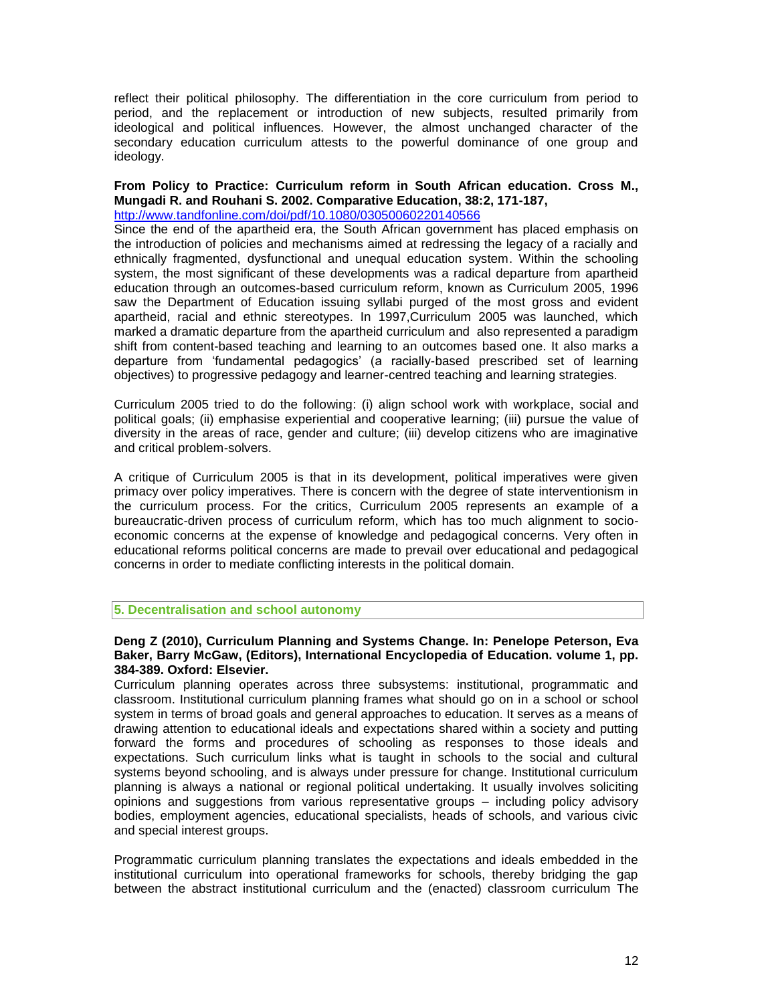reflect their political philosophy. The differentiation in the core curriculum from period to period, and the replacement or introduction of new subjects, resulted primarily from ideological and political influences. However, the almost unchanged character of the secondary education curriculum attests to the powerful dominance of one group and ideology.

#### **From Policy to Practice: Curriculum reform in South African education. Cross M., Mungadi R. and Rouhani S. 2002. Comparative Education, 38:2, 171-187,** <http://www.tandfonline.com/doi/pdf/10.1080/03050060220140566>

Since the end of the apartheid era, the South African government has placed emphasis on the introduction of policies and mechanisms aimed at redressing the legacy of a racially and ethnically fragmented, dysfunctional and unequal education system. Within the schooling system, the most significant of these developments was a radical departure from apartheid education through an outcomes-based curriculum reform, known as Curriculum 2005, 1996 saw the Department of Education issuing syllabi purged of the most gross and evident apartheid, racial and ethnic stereotypes. In 1997,Curriculum 2005 was launched, which marked a dramatic departure from the apartheid curriculum and also represented a paradigm shift from content-based teaching and learning to an outcomes based one. It also marks a departure from 'fundamental pedagogics' (a racially-based prescribed set of learning objectives) to progressive pedagogy and learner-centred teaching and learning strategies.

Curriculum 2005 tried to do the following: (i) align school work with workplace, social and political goals; (ii) emphasise experiential and cooperative learning; (iii) pursue the value of diversity in the areas of race, gender and culture; (iii) develop citizens who are imaginative and critical problem-solvers.

A critique of Curriculum 2005 is that in its development, political imperatives were given primacy over policy imperatives. There is concern with the degree of state interventionism in the curriculum process. For the critics, Curriculum 2005 represents an example of a bureaucratic-driven process of curriculum reform, which has too much alignment to socioeconomic concerns at the expense of knowledge and pedagogical concerns. Very often in educational reforms political concerns are made to prevail over educational and pedagogical concerns in order to mediate conflicting interests in the political domain.

## **5. Decentralisation and school autonomy**

## **Deng Z (2010), Curriculum Planning and Systems Change. In: Penelope Peterson, Eva Baker, Barry McGaw, (Editors), International Encyclopedia of Education. volume 1, pp. 384-389. Oxford: Elsevier.**

Curriculum planning operates across three subsystems: institutional, programmatic and classroom. Institutional curriculum planning frames what should go on in a school or school system in terms of broad goals and general approaches to education. It serves as a means of drawing attention to educational ideals and expectations shared within a society and putting forward the forms and procedures of schooling as responses to those ideals and expectations. Such curriculum links what is taught in schools to the social and cultural systems beyond schooling, and is always under pressure for change. Institutional curriculum planning is always a national or regional political undertaking. It usually involves soliciting opinions and suggestions from various representative groups – including policy advisory bodies, employment agencies, educational specialists, heads of schools, and various civic and special interest groups.

Programmatic curriculum planning translates the expectations and ideals embedded in the institutional curriculum into operational frameworks for schools, thereby bridging the gap between the abstract institutional curriculum and the (enacted) classroom curriculum The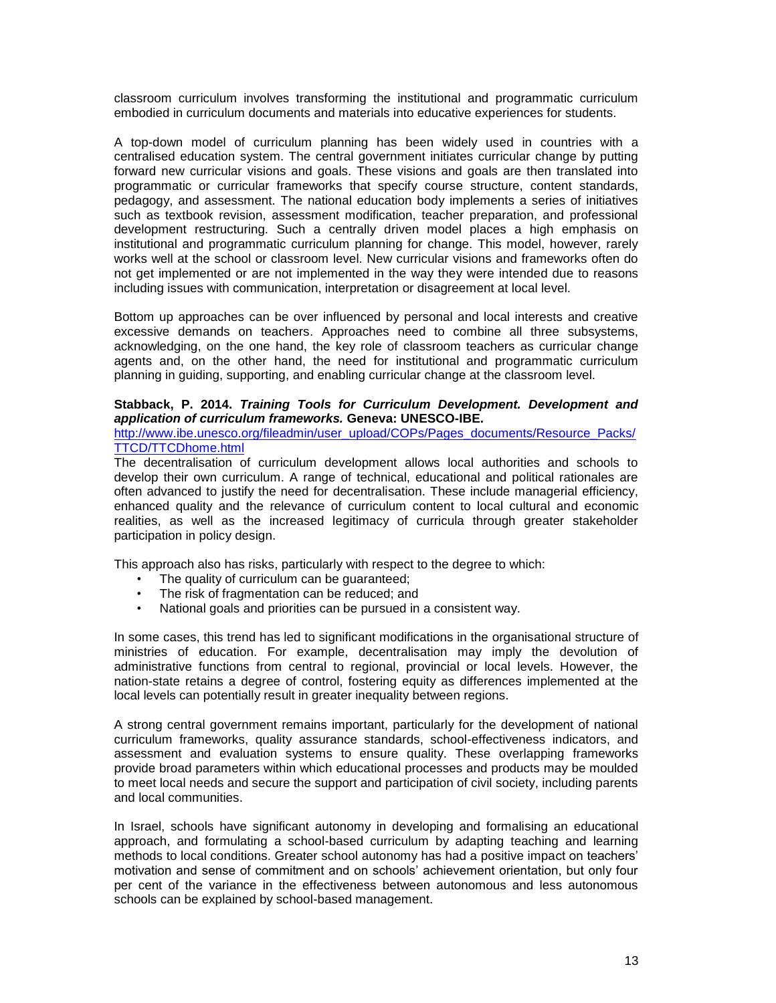classroom curriculum involves transforming the institutional and programmatic curriculum embodied in curriculum documents and materials into educative experiences for students.

A top-down model of curriculum planning has been widely used in countries with a centralised education system. The central government initiates curricular change by putting forward new curricular visions and goals. These visions and goals are then translated into programmatic or curricular frameworks that specify course structure, content standards, pedagogy, and assessment. The national education body implements a series of initiatives such as textbook revision, assessment modification, teacher preparation, and professional development restructuring. Such a centrally driven model places a high emphasis on institutional and programmatic curriculum planning for change. This model, however, rarely works well at the school or classroom level. New curricular visions and frameworks often do not get implemented or are not implemented in the way they were intended due to reasons including issues with communication, interpretation or disagreement at local level.

Bottom up approaches can be over influenced by personal and local interests and creative excessive demands on teachers. Approaches need to combine all three subsystems, acknowledging, on the one hand, the key role of classroom teachers as curricular change agents and, on the other hand, the need for institutional and programmatic curriculum planning in guiding, supporting, and enabling curricular change at the classroom level.

# **Stabback, P. 2014.** *Training Tools for Curriculum Development. Development and application of curriculum frameworks.* **Geneva: UNESCO-IBE.**

[http://www.ibe.unesco.org/fileadmin/user\\_upload/COPs/Pages\\_documents/Resource\\_Packs/](http://www.ibe.unesco.org/fileadmin/user_upload/COPs/Pages_documents/Resource_Packs/TTCD/TTCDhome.html) [TTCD/TTCDhome.html](http://www.ibe.unesco.org/fileadmin/user_upload/COPs/Pages_documents/Resource_Packs/TTCD/TTCDhome.html)

The decentralisation of curriculum development allows local authorities and schools to develop their own curriculum. A range of technical, educational and political rationales are often advanced to justify the need for decentralisation. These include managerial efficiency, enhanced quality and the relevance of curriculum content to local cultural and economic realities, as well as the increased legitimacy of curricula through greater stakeholder participation in policy design.

This approach also has risks, particularly with respect to the degree to which:

- The quality of curriculum can be guaranteed;
- The risk of fragmentation can be reduced; and
- National goals and priorities can be pursued in a consistent way.

In some cases, this trend has led to significant modifications in the organisational structure of ministries of education. For example, decentralisation may imply the devolution of administrative functions from central to regional, provincial or local levels. However, the nation-state retains a degree of control, fostering equity as differences implemented at the local levels can potentially result in greater inequality between regions.

A strong central government remains important, particularly for the development of national curriculum frameworks, quality assurance standards, school-effectiveness indicators, and assessment and evaluation systems to ensure quality. These overlapping frameworks provide broad parameters within which educational processes and products may be moulded to meet local needs and secure the support and participation of civil society, including parents and local communities.

In Israel, schools have significant autonomy in developing and formalising an educational approach, and formulating a school-based curriculum by adapting teaching and learning methods to local conditions. Greater school autonomy has had a positive impact on teachers' motivation and sense of commitment and on schools' achievement orientation, but only four per cent of the variance in the effectiveness between autonomous and less autonomous schools can be explained by school-based management.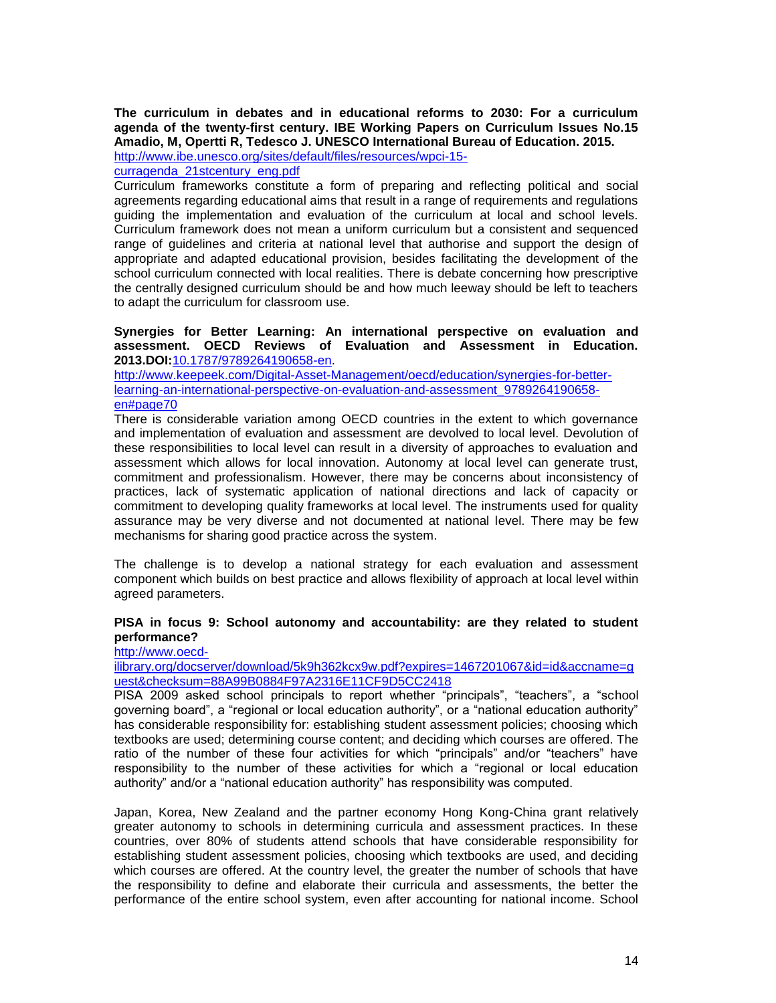**The curriculum in debates and in educational reforms to 2030: For a curriculum agenda of the twenty-first century. IBE Working Papers on Curriculum Issues No.15 Amadio, M, Opertti R, Tedesco J. UNESCO International Bureau of Education. 2015.** 

[http://www.ibe.unesco.org/sites/default/files/resources/wpci-15-](http://www.ibe.unesco.org/sites/default/files/resources/wpci-15-curragenda_21stcentury_eng.pdf)

[curragenda\\_21stcentury\\_eng.pdf](http://www.ibe.unesco.org/sites/default/files/resources/wpci-15-curragenda_21stcentury_eng.pdf)

Curriculum frameworks constitute a form of preparing and reflecting political and social agreements regarding educational aims that result in a range of requirements and regulations guiding the implementation and evaluation of the curriculum at local and school levels. Curriculum framework does not mean a uniform curriculum but a consistent and sequenced range of guidelines and criteria at national level that authorise and support the design of appropriate and adapted educational provision, besides facilitating the development of the school curriculum connected with local realities. There is debate concerning how prescriptive the centrally designed curriculum should be and how much leeway should be left to teachers to adapt the curriculum for classroom use.

#### **Synergies for Better Learning: An international perspective on evaluation and assessment. OECD Reviews of Evaluation and Assessment in Education. 2013.DOI:**[10.1787/9789264190658-en.](http://dx.doi.org/10.1787/9789264190658-en)

[http://www.keepeek.com/Digital-Asset-Management/oecd/education/synergies-for-better](http://www.keepeek.com/Digital-Asset-Management/oecd/education/synergies-for-better-learning-an-international-perspective-on-evaluation-and-assessment_9789264190658-en#page70)[learning-an-international-perspective-on-evaluation-and-assessment\\_9789264190658](http://www.keepeek.com/Digital-Asset-Management/oecd/education/synergies-for-better-learning-an-international-perspective-on-evaluation-and-assessment_9789264190658-en#page70) [en#page70](http://www.keepeek.com/Digital-Asset-Management/oecd/education/synergies-for-better-learning-an-international-perspective-on-evaluation-and-assessment_9789264190658-en#page70)

There is considerable variation among OECD countries in the extent to which governance and implementation of evaluation and assessment are devolved to local level. Devolution of these responsibilities to local level can result in a diversity of approaches to evaluation and assessment which allows for local innovation. Autonomy at local level can generate trust, commitment and professionalism. However, there may be concerns about inconsistency of practices, lack of systematic application of national directions and lack of capacity or commitment to developing quality frameworks at local level. The instruments used for quality assurance may be very diverse and not documented at national level. There may be few mechanisms for sharing good practice across the system.

The challenge is to develop a national strategy for each evaluation and assessment component which builds on best practice and allows flexibility of approach at local level within agreed parameters.

## **PISA in focus 9: School autonomy and accountability: are they related to student performance?**

[http://www.oecd-](http://www.oecd-ilibrary.org/docserver/download/5k9h362kcx9w.pdf?expires=1467201067&id=id&accname=guest&checksum=88A99B0884F97A2316E11CF9D5CC2418)

[ilibrary.org/docserver/download/5k9h362kcx9w.pdf?expires=1467201067&id=id&accname=g](http://www.oecd-ilibrary.org/docserver/download/5k9h362kcx9w.pdf?expires=1467201067&id=id&accname=guest&checksum=88A99B0884F97A2316E11CF9D5CC2418) [uest&checksum=88A99B0884F97A2316E11CF9D5CC2418](http://www.oecd-ilibrary.org/docserver/download/5k9h362kcx9w.pdf?expires=1467201067&id=id&accname=guest&checksum=88A99B0884F97A2316E11CF9D5CC2418)

PISA 2009 asked school principals to report whether "principals", "teachers", a "school governing board", a "regional or local education authority", or a "national education authority" has considerable responsibility for: establishing student assessment policies; choosing which textbooks are used; determining course content; and deciding which courses are offered. The ratio of the number of these four activities for which "principals" and/or "teachers" have responsibility to the number of these activities for which a "regional or local education authority" and/or a "national education authority" has responsibility was computed.

Japan, Korea, New Zealand and the partner economy Hong Kong-China grant relatively greater autonomy to schools in determining curricula and assessment practices. In these countries, over 80% of students attend schools that have considerable responsibility for establishing student assessment policies, choosing which textbooks are used, and deciding which courses are offered. At the country level, the greater the number of schools that have the responsibility to define and elaborate their curricula and assessments, the better the performance of the entire school system, even after accounting for national income. School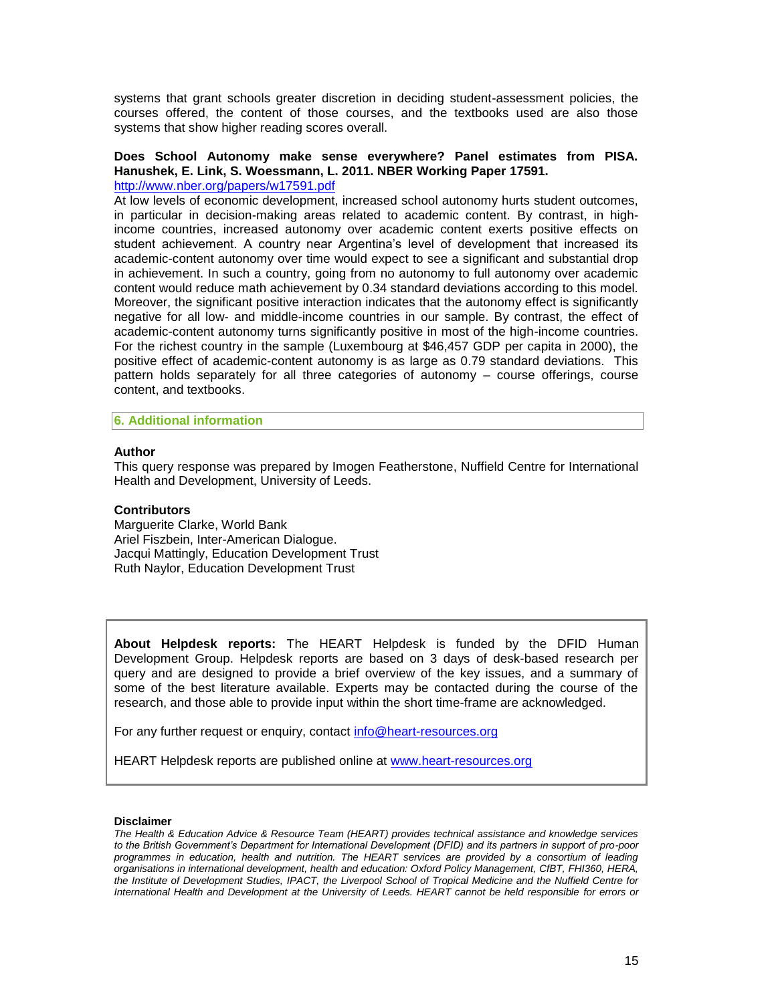systems that grant schools greater discretion in deciding student-assessment policies, the courses offered, the content of those courses, and the textbooks used are also those systems that show higher reading scores overall.

# **Does School Autonomy make sense everywhere? Panel estimates from PISA. Hanushek, E. Link, S. Woessmann, L. 2011. NBER Working Paper 17591.**

<http://www.nber.org/papers/w17591.pdf>

At low levels of economic development, increased school autonomy hurts student outcomes, in particular in decision-making areas related to academic content. By contrast, in highincome countries, increased autonomy over academic content exerts positive effects on student achievement. A country near Argentina's level of development that increased its academic-content autonomy over time would expect to see a significant and substantial drop in achievement. In such a country, going from no autonomy to full autonomy over academic content would reduce math achievement by 0.34 standard deviations according to this model. Moreover, the significant positive interaction indicates that the autonomy effect is significantly negative for all low- and middle-income countries in our sample. By contrast, the effect of academic-content autonomy turns significantly positive in most of the high-income countries. For the richest country in the sample (Luxembourg at \$46,457 GDP per capita in 2000), the positive effect of academic-content autonomy is as large as 0.79 standard deviations. This pattern holds separately for all three categories of autonomy – course offerings, course content, and textbooks.

#### **6. Additional information**

#### **Author**

This query response was prepared by Imogen Featherstone, Nuffield Centre for International Health and Development, University of Leeds.

#### **Contributors**

Marguerite Clarke, World Bank Ariel Fiszbein, Inter-American Dialogue. Jacqui Mattingly, Education Development Trust Ruth Naylor, Education Development Trust

**About Helpdesk reports:** The HEART Helpdesk is funded by the DFID Human Development Group. Helpdesk reports are based on 3 days of desk-based research per query and are designed to provide a brief overview of the key issues, and a summary of some of the best literature available. Experts may be contacted during the course of the research, and those able to provide input within the short time-frame are acknowledged.

For any further request or enquiry, contact [info@heart-resources.org](mailto:info@heart-resources.org)

HEART Helpdesk reports are published online at [www.heart-resources.org](http://www.heart-resources.org/)

#### **Disclaimer**

*The Health & Education Advice & Resource Team (HEART) provides technical assistance and knowledge services to the British Government's Department for International Development (DFID) and its partners in support of pro-poor programmes in education, health and nutrition. The HEART services are provided by a consortium of leading organisations in international development, health and education: Oxford Policy Management, CfBT, FHI360, HERA, the Institute of Development Studies, IPACT, the Liverpool School of Tropical Medicine and the Nuffield Centre for International Health and Development at the University of Leeds. HEART cannot be held responsible for errors or*